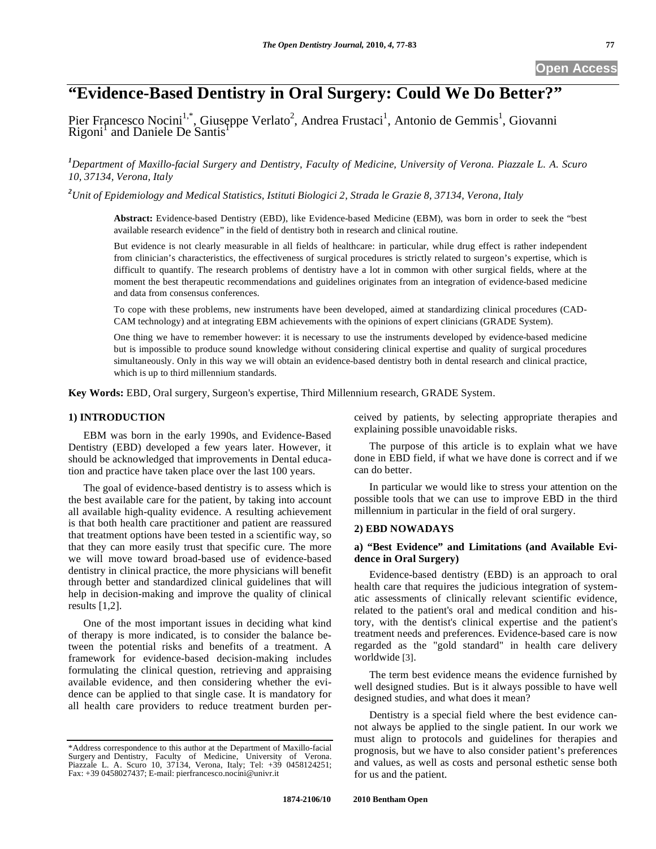# **"Evidence-Based Dentistry in Oral Surgery: Could We Do Better?"**

Pier Francesco Nocini<sup>1,\*</sup>, Giuseppe Verlato<sup>2</sup>, Andrea Frustaci<sup>1</sup>, Antonio de Gemmis<sup>1</sup>, Giovanni  $\overline{\text{Rigoni}}^1$  and Daniele De Santis<sup>1</sup>

### *1 Department of Maxillo-facial Surgery and Dentistry, Faculty of Medicine, University of Verona. Piazzale L. A. Scuro 10, 37134, Verona, Italy*

*2 Unit of Epidemiology and Medical Statistics, Istituti Biologici 2, Strada le Grazie 8, 37134, Verona, Italy* 

**Abstract:** Evidence-based Dentistry (EBD), like Evidence-based Medicine (EBM), was born in order to seek the "best available research evidence" in the field of dentistry both in research and clinical routine.

But evidence is not clearly measurable in all fields of healthcare: in particular, while drug effect is rather independent from clinician's characteristics, the effectiveness of surgical procedures is strictly related to surgeon's expertise, which is difficult to quantify. The research problems of dentistry have a lot in common with other surgical fields, where at the moment the best therapeutic recommendations and guidelines originates from an integration of evidence-based medicine and data from consensus conferences.

To cope with these problems, new instruments have been developed, aimed at standardizing clinical procedures (CAD-CAM technology) and at integrating EBM achievements with the opinions of expert clinicians (GRADE System).

One thing we have to remember however: it is necessary to use the instruments developed by evidence-based medicine but is impossible to produce sound knowledge without considering clinical expertise and quality of surgical procedures simultaneously. Only in this way we will obtain an evidence-based dentistry both in dental research and clinical practice, which is up to third millennium standards.

**Key Words:** EBD, Oral surgery, Surgeon's expertise, Third Millennium research, GRADE System.

#### **1) INTRODUCTION**

EBM was born in the early 1990s, and Evidence-Based Dentistry (EBD) developed a few years later. However, it should be acknowledged that improvements in Dental education and practice have taken place over the last 100 years.

The goal of evidence-based dentistry is to assess which is the best available care for the patient, by taking into account all available high-quality evidence. A resulting achievement is that both health care practitioner and patient are reassured that treatment options have been tested in a scientific way, so that they can more easily trust that specific cure. The more we will move toward broad-based use of evidence-based dentistry in clinical practice, the more physicians will benefit through better and standardized clinical guidelines that will help in decision-making and improve the quality of clinical results [1,2].

One of the most important issues in deciding what kind of therapy is more indicated, is to consider the balance between the potential risks and benefits of a treatment. A framework for evidence-based decision-making includes formulating the clinical question, retrieving and appraising available evidence, and then considering whether the evidence can be applied to that single case. It is mandatory for all health care providers to reduce treatment burden perceived by patients, by selecting appropriate therapies and explaining possible unavoidable risks.

The purpose of this article is to explain what we have done in EBD field, if what we have done is correct and if we can do better.

In particular we would like to stress your attention on the possible tools that we can use to improve EBD in the third millennium in particular in the field of oral surgery.

#### **2) EBD NOWADAYS**

#### **a) "Best Evidence" and Limitations (and Available Evidence in Oral Surgery)**

Evidence-based dentistry (EBD) is an approach to oral health care that requires the judicious integration of systematic assessments of clinically relevant scientific evidence, related to the patient's oral and medical condition and history, with the dentist's clinical expertise and the patient's treatment needs and preferences. Evidence-based care is now regarded as the "gold standard" in health care delivery worldwide [3].

The term best evidence means the evidence furnished by well designed studies. But is it always possible to have well designed studies, and what does it mean?

Dentistry is a special field where the best evidence cannot always be applied to the single patient. In our work we must align to protocols and guidelines for therapies and prognosis, but we have to also consider patient's preferences and values, as well as costs and personal esthetic sense both for us and the patient.

<sup>\*</sup>Address correspondence to this author at the Department of Maxillo-facial Surgery and Dentistry, Faculty of Medicine, University of Verona. Piazzale L. A. Scuro 10, 37134, Verona, Italy; Tel: +39 0458124251; Fax: +39 0458027437; E-mail: pierfrancesco.nocini@univr.it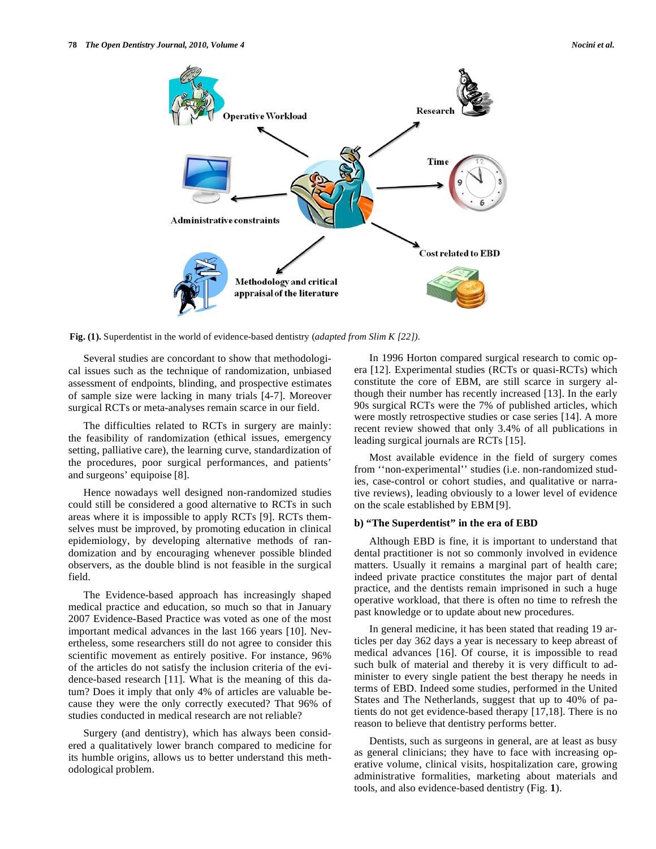

**Fig. (1).** Superdentist in the world of evidence-based dentistry (*adapted from Slim K [22]).* 

Several studies are concordant to show that methodological issues such as the technique of randomization, unbiased assessment of endpoints, blinding, and prospective estimates of sample size were lacking in many trials [4-7]. Moreover surgical RCTs or meta-analyses remain scarce in our field.

The difficulties related to RCTs in surgery are mainly: the feasibility of randomization (ethical issues, emergency setting, palliative care), the learning curve, standardization of the procedures, poor surgical performances, and patients' and surgeons' equipoise [8].

Hence nowadays well designed non-randomized studies could still be considered a good alternative to RCTs in such areas where it is impossible to apply RCTs [9]. RCTs themselves must be improved, by promoting education in clinical epidemiology, by developing alternative methods of randomization and by encouraging whenever possible blinded observers, as the double blind is not feasible in the surgical field.

The Evidence-based approach has increasingly shaped medical practice and education, so much so that in January 2007 Evidence-Based Practice was voted as one of the most important medical advances in the last 166 years [10]. Nevertheless, some researchers still do not agree to consider this scientific movement as entirely positive. For instance, 96% of the articles do not satisfy the inclusion criteria of the evidence-based research [11]. What is the meaning of this datum? Does it imply that only 4% of articles are valuable because they were the only correctly executed? That 96% of studies conducted in medical research are not reliable?

Surgery (and dentistry), which has always been considered a qualitatively lower branch compared to medicine for its humble origins, allows us to better understand this methodological problem.

In 1996 Horton compared surgical research to comic opera [12]. Experimental studies (RCTs or quasi-RCTs) which constitute the core of EBM, are still scarce in surgery although their number has recently increased [13]. In the early 90s surgical RCTs were the 7% of published articles, which were mostly retrospective studies or case series [14]. A more recent review showed that only 3.4% of all publications in leading surgical journals are RCTs [15].

Most available evidence in the field of surgery comes from ''non-experimental'' studies (i.e. non-randomized studies, case-control or cohort studies, and qualitative or narrative reviews), leading obviously to a lower level of evidence on the scale established by EBM [9].

#### **b) "The Superdentist" in the era of EBD**

Although EBD is fine, it is important to understand that dental practitioner is not so commonly involved in evidence matters. Usually it remains a marginal part of health care; indeed private practice constitutes the major part of dental practice, and the dentists remain imprisoned in such a huge operative workload, that there is often no time to refresh the past knowledge or to update about new procedures.

In general medicine, it has been stated that reading 19 articles per day 362 days a year is necessary to keep abreast of medical advances [16]. Of course, it is impossible to read such bulk of material and thereby it is very difficult to administer to every single patient the best therapy he needs in terms of EBD. Indeed some studies, performed in the United States and The Netherlands, suggest that up to 40% of patients do not get evidence-based therapy [17,18]. There is no reason to believe that dentistry performs better.

Dentists, such as surgeons in general, are at least as busy as general clinicians; they have to face with increasing operative volume, clinical visits, hospitalization care, growing administrative formalities, marketing about materials and tools, and also evidence-based dentistry (Fig. **1**).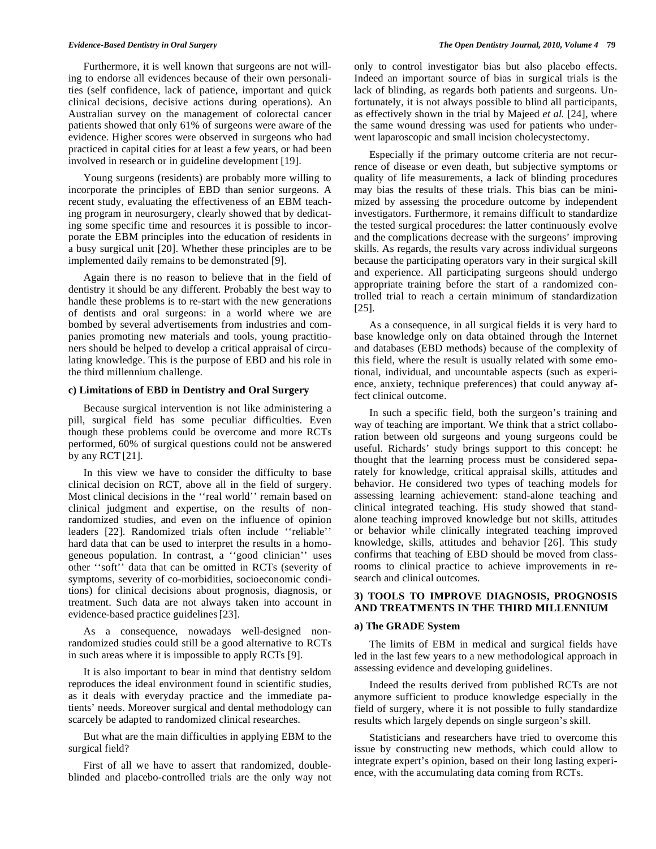Furthermore, it is well known that surgeons are not willing to endorse all evidences because of their own personalities (self confidence, lack of patience, important and quick clinical decisions, decisive actions during operations). An Australian survey on the management of colorectal cancer patients showed that only 61% of surgeons were aware of the evidence. Higher scores were observed in surgeons who had practiced in capital cities for at least a few years, or had been involved in research or in guideline development [19].

Young surgeons (residents) are probably more willing to incorporate the principles of EBD than senior surgeons. A recent study, evaluating the effectiveness of an EBM teaching program in neurosurgery, clearly showed that by dedicating some specific time and resources it is possible to incorporate the EBM principles into the education of residents in a busy surgical unit [20]. Whether these principles are to be implemented daily remains to be demonstrated [9].

Again there is no reason to believe that in the field of dentistry it should be any different. Probably the best way to handle these problems is to re-start with the new generations of dentists and oral surgeons: in a world where we are bombed by several advertisements from industries and companies promoting new materials and tools, young practitioners should be helped to develop a critical appraisal of circulating knowledge. This is the purpose of EBD and his role in the third millennium challenge.

#### **c) Limitations of EBD in Dentistry and Oral Surgery**

Because surgical intervention is not like administering a pill, surgical field has some peculiar difficulties. Even though these problems could be overcome and more RCTs performed, 60% of surgical questions could not be answered by any RCT [21].

In this view we have to consider the difficulty to base clinical decision on RCT, above all in the field of surgery. Most clinical decisions in the ''real world'' remain based on clinical judgment and expertise, on the results of nonrandomized studies, and even on the influence of opinion leaders [22]. Randomized trials often include ''reliable'' hard data that can be used to interpret the results in a homogeneous population. In contrast, a ''good clinician'' uses other ''soft'' data that can be omitted in RCTs (severity of symptoms, severity of co-morbidities, socioeconomic conditions) for clinical decisions about prognosis, diagnosis, or treatment. Such data are not always taken into account in evidence-based practice guidelines[23].

As a consequence, nowadays well-designed nonrandomized studies could still be a good alternative to RCTs in such areas where it is impossible to apply RCTs [9].

It is also important to bear in mind that dentistry seldom reproduces the ideal environment found in scientific studies, as it deals with everyday practice and the immediate patients' needs. Moreover surgical and dental methodology can scarcely be adapted to randomized clinical researches.

But what are the main difficulties in applying EBM to the surgical field?

First of all we have to assert that randomized, doubleblinded and placebo-controlled trials are the only way not only to control investigator bias but also placebo effects. Indeed an important source of bias in surgical trials is the lack of blinding, as regards both patients and surgeons. Unfortunately, it is not always possible to blind all participants, as effectively shown in the trial by Majeed *et al.* [24], where the same wound dressing was used for patients who underwent laparoscopic and small incision cholecystectomy.

Especially if the primary outcome criteria are not recurrence of disease or even death, but subjective symptoms or quality of life measurements, a lack of blinding procedures may bias the results of these trials. This bias can be minimized by assessing the procedure outcome by independent investigators. Furthermore, it remains difficult to standardize the tested surgical procedures: the latter continuously evolve and the complications decrease with the surgeons' improving skills. As regards, the results vary across individual surgeons because the participating operators vary in their surgical skill and experience. All participating surgeons should undergo appropriate training before the start of a randomized controlled trial to reach a certain minimum of standardization [25].

As a consequence, in all surgical fields it is very hard to base knowledge only on data obtained through the Internet and databases (EBD methods) because of the complexity of this field, where the result is usually related with some emotional, individual, and uncountable aspects (such as experience, anxiety, technique preferences) that could anyway affect clinical outcome.

In such a specific field, both the surgeon's training and way of teaching are important. We think that a strict collaboration between old surgeons and young surgeons could be useful. Richards' study brings support to this concept: he thought that the learning process must be considered separately for knowledge, critical appraisal skills, attitudes and behavior. He considered two types of teaching models for assessing learning achievement: stand-alone teaching and clinical integrated teaching. His study showed that standalone teaching improved knowledge but not skills, attitudes or behavior while clinically integrated teaching improved knowledge, skills, attitudes and behavior [26]. This study confirms that teaching of EBD should be moved from classrooms to clinical practice to achieve improvements in research and clinical outcomes.

#### **3) TOOLS TO IMPROVE DIAGNOSIS, PROGNOSIS AND TREATMENTS IN THE THIRD MILLENNIUM**

#### **a) The GRADE System**

The limits of EBM in medical and surgical fields have led in the last few years to a new methodological approach in assessing evidence and developing guidelines.

Indeed the results derived from published RCTs are not anymore sufficient to produce knowledge especially in the field of surgery, where it is not possible to fully standardize results which largely depends on single surgeon's skill.

Statisticians and researchers have tried to overcome this issue by constructing new methods, which could allow to integrate expert's opinion, based on their long lasting experience, with the accumulating data coming from RCTs.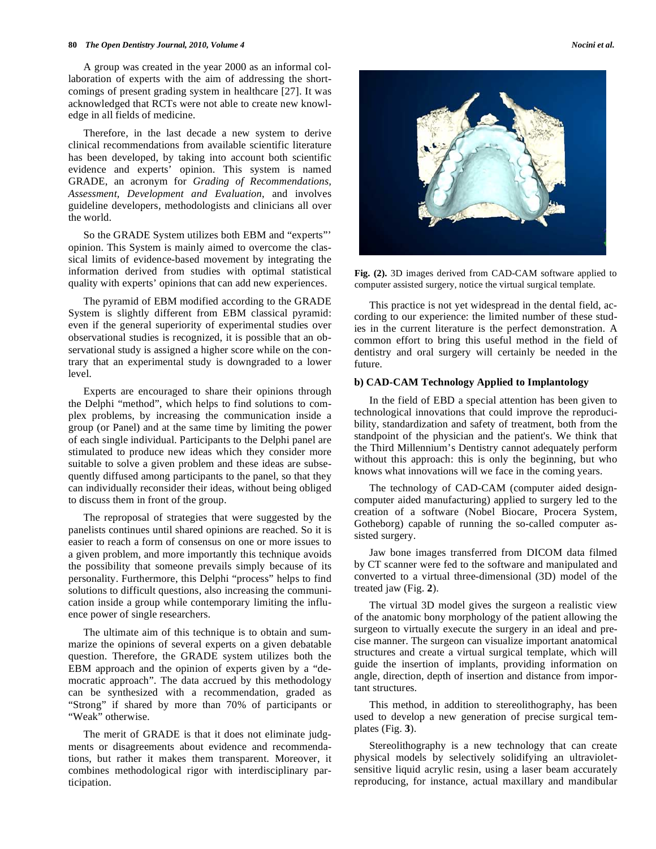#### **80** *The Open Dentistry Journal, 2010, Volume 4 Nocini et al.*

A group was created in the year 2000 as an informal collaboration of experts with the aim of addressing the shortcomings of present grading system in healthcare [27]. It was acknowledged that RCTs were not able to create new knowledge in all fields of medicine.

Therefore, in the last decade a new system to derive clinical recommendations from available scientific literature has been developed, by taking into account both scientific evidence and experts' opinion. This system is named GRADE, an acronym for *Grading of Recommendations, Assessment, Development and Evaluation*, and involves guideline developers, methodologists and clinicians all over the world.

So the GRADE System utilizes both EBM and "experts"' opinion. This System is mainly aimed to overcome the classical limits of evidence-based movement by integrating the information derived from studies with optimal statistical quality with experts' opinions that can add new experiences.

The pyramid of EBM modified according to the GRADE System is slightly different from EBM classical pyramid: even if the general superiority of experimental studies over observational studies is recognized, it is possible that an observational study is assigned a higher score while on the contrary that an experimental study is downgraded to a lower level.

Experts are encouraged to share their opinions through the Delphi "method", which helps to find solutions to complex problems, by increasing the communication inside a group (or Panel) and at the same time by limiting the power of each single individual. Participants to the Delphi panel are stimulated to produce new ideas which they consider more suitable to solve a given problem and these ideas are subsequently diffused among participants to the panel, so that they can individually reconsider their ideas, without being obliged to discuss them in front of the group.

The reproposal of strategies that were suggested by the panelists continues until shared opinions are reached. So it is easier to reach a form of consensus on one or more issues to a given problem, and more importantly this technique avoids the possibility that someone prevails simply because of its personality. Furthermore, this Delphi "process" helps to find solutions to difficult questions, also increasing the communication inside a group while contemporary limiting the influence power of single researchers.

The ultimate aim of this technique is to obtain and summarize the opinions of several experts on a given debatable question. Therefore, the GRADE system utilizes both the EBM approach and the opinion of experts given by a "democratic approach". The data accrued by this methodology can be synthesized with a recommendation, graded as "Strong" if shared by more than 70% of participants or "Weak" otherwise.

The merit of GRADE is that it does not eliminate judgments or disagreements about evidence and recommendations, but rather it makes them transparent. Moreover, it combines methodological rigor with interdisciplinary participation.



**Fig. (2).** 3D images derived from CAD-CAM software applied to computer assisted surgery, notice the virtual surgical template.

This practice is not yet widespread in the dental field, according to our experience: the limited number of these studies in the current literature is the perfect demonstration. A common effort to bring this useful method in the field of dentistry and oral surgery will certainly be needed in the future.

#### **b) CAD-CAM Technology Applied to Implantology**

In the field of EBD a special attention has been given to technological innovations that could improve the reproducibility, standardization and safety of treatment, both from the standpoint of the physician and the patient's. We think that the Third Millennium's Dentistry cannot adequately perform without this approach: this is only the beginning, but who knows what innovations will we face in the coming years.

The technology of CAD-CAM (computer aided designcomputer aided manufacturing) applied to surgery led to the creation of a software (Nobel Biocare, Procera System, Gotheborg) capable of running the so-called computer assisted surgery.

Jaw bone images transferred from DICOM data filmed by CT scanner were fed to the software and manipulated and converted to a virtual three-dimensional (3D) model of the treated jaw (Fig. **2**).

The virtual 3D model gives the surgeon a realistic view of the anatomic bony morphology of the patient allowing the surgeon to virtually execute the surgery in an ideal and precise manner. The surgeon can visualize important anatomical structures and create a virtual surgical template, which will guide the insertion of implants, providing information on angle, direction, depth of insertion and distance from important structures.

This method, in addition to stereolithography, has been used to develop a new generation of precise surgical templates (Fig. **3**).

Stereolithography is a new technology that can create physical models by selectively solidifying an ultravioletsensitive liquid acrylic resin, using a laser beam accurately reproducing, for instance, actual maxillary and mandibular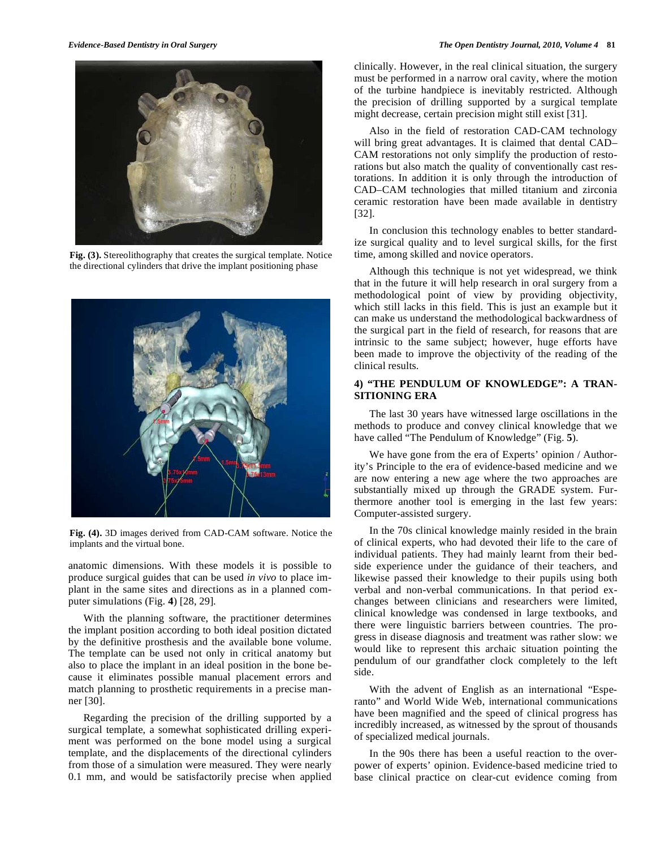

**Fig. (3).** Stereolithography that creates the surgical template. Notice the directional cylinders that drive the implant positioning phase



**Fig. (4).** 3D images derived from CAD-CAM software. Notice the implants and the virtual bone.

anatomic dimensions. With these models it is possible to produce surgical guides that can be used *in vivo* to place implant in the same sites and directions as in a planned computer simulations (Fig. **4**) [28, 29]*.* 

With the planning software, the practitioner determines the implant position according to both ideal position dictated by the definitive prosthesis and the available bone volume. The template can be used not only in critical anatomy but also to place the implant in an ideal position in the bone because it eliminates possible manual placement errors and match planning to prosthetic requirements in a precise manner [30].

Regarding the precision of the drilling supported by a surgical template, a somewhat sophisticated drilling experiment was performed on the bone model using a surgical template, and the displacements of the directional cylinders from those of a simulation were measured. They were nearly 0.1 mm, and would be satisfactorily precise when applied clinically. However, in the real clinical situation, the surgery must be performed in a narrow oral cavity, where the motion of the turbine handpiece is inevitably restricted. Although the precision of drilling supported by a surgical template might decrease, certain precision might still exist [31].

Also in the field of restoration CAD-CAM technology will bring great advantages. It is claimed that dental CAD– CAM restorations not only simplify the production of restorations but also match the quality of conventionally cast restorations. In addition it is only through the introduction of CAD–CAM technologies that milled titanium and zirconia ceramic restoration have been made available in dentistry [32].

In conclusion this technology enables to better standardize surgical quality and to level surgical skills, for the first time, among skilled and novice operators.

Although this technique is not yet widespread, we think that in the future it will help research in oral surgery from a methodological point of view by providing objectivity, which still lacks in this field. This is just an example but it can make us understand the methodological backwardness of the surgical part in the field of research, for reasons that are intrinsic to the same subject; however, huge efforts have been made to improve the objectivity of the reading of the clinical results.

#### **4) "THE PENDULUM OF KNOWLEDGE": A TRAN-SITIONING ERA**

The last 30 years have witnessed large oscillations in the methods to produce and convey clinical knowledge that we have called "The Pendulum of Knowledge" (Fig. **5**).

We have gone from the era of Experts' opinion / Authority's Principle to the era of evidence-based medicine and we are now entering a new age where the two approaches are substantially mixed up through the GRADE system. Furthermore another tool is emerging in the last few years: Computer-assisted surgery.

In the 70s clinical knowledge mainly resided in the brain of clinical experts, who had devoted their life to the care of individual patients. They had mainly learnt from their bedside experience under the guidance of their teachers, and likewise passed their knowledge to their pupils using both verbal and non-verbal communications. In that period exchanges between clinicians and researchers were limited, clinical knowledge was condensed in large textbooks, and there were linguistic barriers between countries. The progress in disease diagnosis and treatment was rather slow: we would like to represent this archaic situation pointing the pendulum of our grandfather clock completely to the left side.

With the advent of English as an international "Esperanto" and World Wide Web, international communications have been magnified and the speed of clinical progress has incredibly increased, as witnessed by the sprout of thousands of specialized medical journals.

In the 90s there has been a useful reaction to the overpower of experts' opinion. Evidence-based medicine tried to base clinical practice on clear-cut evidence coming from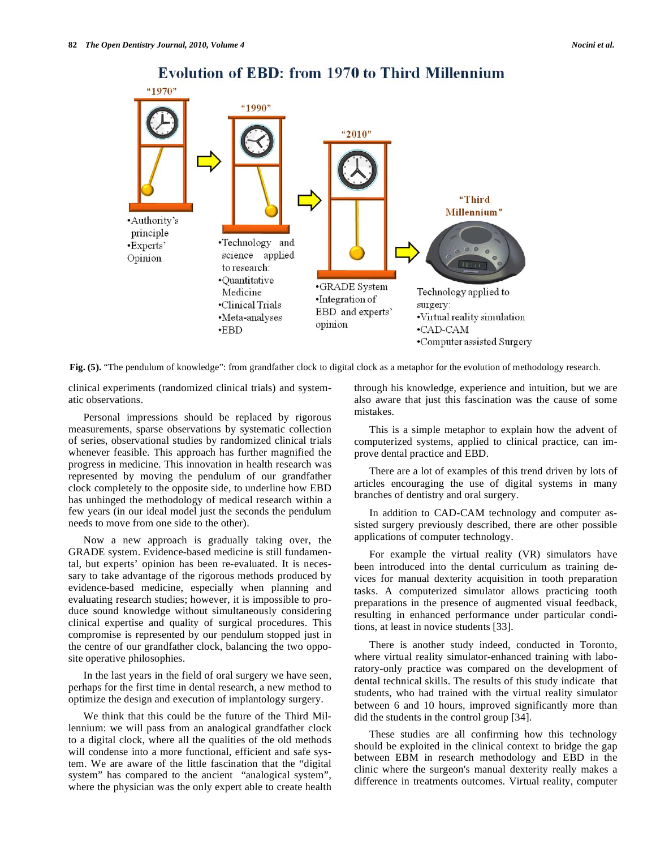

## **Evolution of EBD: from 1970 to Third Millennium**

**Fig. (5).** "The pendulum of knowledge": from grandfather clock to digital clock as a metaphor for the evolution of methodology research.

clinical experiments (randomized clinical trials) and systematic observations.

Personal impressions should be replaced by rigorous measurements, sparse observations by systematic collection of series, observational studies by randomized clinical trials whenever feasible. This approach has further magnified the progress in medicine. This innovation in health research was represented by moving the pendulum of our grandfather clock completely to the opposite side, to underline how EBD has unhinged the methodology of medical research within a few years (in our ideal model just the seconds the pendulum needs to move from one side to the other).

Now a new approach is gradually taking over, the GRADE system. Evidence-based medicine is still fundamental, but experts' opinion has been re-evaluated. It is necessary to take advantage of the rigorous methods produced by evidence-based medicine, especially when planning and evaluating research studies; however, it is impossible to produce sound knowledge without simultaneously considering clinical expertise and quality of surgical procedures. This compromise is represented by our pendulum stopped just in the centre of our grandfather clock, balancing the two opposite operative philosophies.

In the last years in the field of oral surgery we have seen, perhaps for the first time in dental research, a new method to optimize the design and execution of implantology surgery.

We think that this could be the future of the Third Millennium: we will pass from an analogical grandfather clock to a digital clock, where all the qualities of the old methods will condense into a more functional, efficient and safe system. We are aware of the little fascination that the "digital system" has compared to the ancient "analogical system", where the physician was the only expert able to create health through his knowledge, experience and intuition, but we are also aware that just this fascination was the cause of some mistakes.

This is a simple metaphor to explain how the advent of computerized systems, applied to clinical practice, can improve dental practice and EBD.

There are a lot of examples of this trend driven by lots of articles encouraging the use of digital systems in many branches of dentistry and oral surgery.

In addition to CAD-CAM technology and computer assisted surgery previously described, there are other possible applications of computer technology.

For example the virtual reality (VR) simulators have been introduced into the dental curriculum as training devices for manual dexterity acquisition in tooth preparation tasks. A computerized simulator allows practicing tooth preparations in the presence of augmented visual feedback, resulting in enhanced performance under particular conditions, at least in novice students [33].

There is another study indeed, conducted in Toronto, where virtual reality simulator-enhanced training with laboratory-only practice was compared on the development of dental technical skills. The results of this study indicate that students, who had trained with the virtual reality simulator between 6 and 10 hours, improved significantly more than did the students in the control group [34].

These studies are all confirming how this technology should be exploited in the clinical context to bridge the gap between EBM in research methodology and EBD in the clinic where the surgeon's manual dexterity really makes a difference in treatments outcomes. Virtual reality, computer